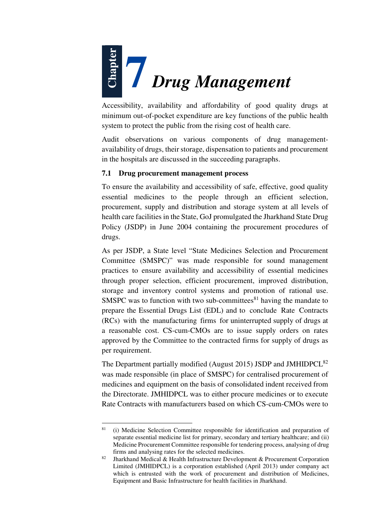

Accessibility, availability and affordability of good quality drugs at minimum out-of-pocket expenditure are key functions of the public health system to protect the public from the rising cost of health care.

Audit observations on various components of drug managementavailability of drugs, their storage, dispensation to patients and procurement in the hospitals are discussed in the succeeding paragraphs.

## **7.1 Drug procurement management process**

To ensure the availability and accessibility of safe, effective, good quality essential medicines to the people through an efficient selection, procurement, supply and distribution and storage system at all levels of health care facilities in the State, GoJ promulgated the Jharkhand State Drug Policy (JSDP) in June 2004 containing the procurement procedures of drugs.

As per JSDP, a State level "State Medicines Selection and Procurement Committee (SMSPC)" was made responsible for sound management practices to ensure availability and accessibility of essential medicines through proper selection, efficient procurement, improved distribution, storage and inventory control systems and promotion of rational use. SMSPC was to function with two sub-committees $81$  having the mandate to prepare the Essential Drugs List (EDL) and to conclude Rate Contracts (RCs) with the manufacturing firms for uninterrupted supply of drugs at a reasonable cost. CS-cum-CMOs are to issue supply orders on rates approved by the Committee to the contracted firms for supply of drugs as per requirement.

The Department partially modified (August 2015) JSDP and JMHIDPCL<sup>82</sup> was made responsible (in place of SMSPC) for centralised procurement of medicines and equipment on the basis of consolidated indent received from the Directorate. JMHIDPCL was to either procure medicines or to execute Rate Contracts with manufacturers based on which CS-cum-CMOs were to

l

<sup>81</sup> (i) Medicine Selection Committee responsible for identification and preparation of separate essential medicine list for primary, secondary and tertiary healthcare; and (ii) Medicine Procurement Committee responsible for tendering process, analysing of drug firms and analysing rates for the selected medicines.

<sup>&</sup>lt;sup>82</sup> Jharkhand Medical & Health Infrastructure Development & Procurement Corporation Limited (JMHIDPCL) is a corporation established (April 2013) under company act which is entrusted with the work of procurement and distribution of Medicines, Equipment and Basic Infrastructure for health facilities in Jharkhand.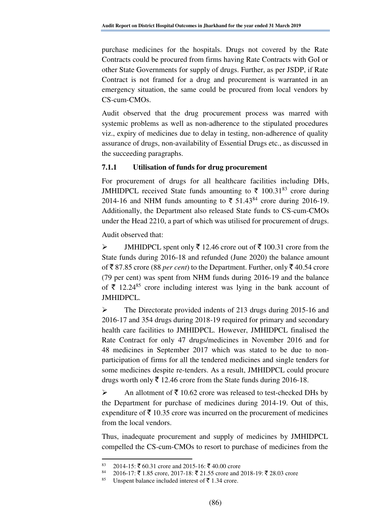purchase medicines for the hospitals. Drugs not covered by the Rate Contracts could be procured from firms having Rate Contracts with GoI or other State Governments for supply of drugs. Further, as per JSDP, if Rate Contract is not framed for a drug and procurement is warranted in an emergency situation, the same could be procured from local vendors by CS-cum-CMOs.

Audit observed that the drug procurement process was marred with systemic problems as well as non-adherence to the stipulated procedures viz., expiry of medicines due to delay in testing, non-adherence of quality assurance of drugs, non-availability of Essential Drugs etc., as discussed in the succeeding paragraphs.

# **7.1.1 Utilisation of funds for drug procurement**

For procurement of drugs for all healthcare facilities including DHs, JMHIDPCL received State funds amounting to  $\bar{\tau}$  100.31<sup>83</sup> crore during 2014-16 and NHM funds amounting to  $\bar{\tau}$  51.43<sup>84</sup> crore during 2016-19. Additionally, the Department also released State funds to CS-cum-CMOs under the Head 2210, a part of which was utilised for procurement of drugs.

Audit observed that:

 $\triangleright$  JMHIDPCL spent only  $\bar{\tau}$  12.46 crore out of  $\bar{\tau}$  100.31 crore from the State funds during 2016-18 and refunded (June 2020) the balance amount of  $\bar{\mathcal{R}}$  87.85 crore (88 *per cent*) to the Department. Further, only  $\bar{\mathcal{R}}$  40.54 crore (79 per cent) was spent from NHM funds during 2016-19 and the balance of  $\bar{\xi}$  12.24<sup>85</sup> crore including interest was lying in the bank account of JMHIDPCL.

 The Directorate provided indents of 213 drugs during 2015-16 and 2016-17 and 354 drugs during 2018-19 required for primary and secondary health care facilities to JMHIDPCL. However, JMHIDPCL finalised the Rate Contract for only 47 drugs/medicines in November 2016 and for 48 medicines in September 2017 which was stated to be due to nonparticipation of firms for all the tendered medicines and single tenders for some medicines despite re-tenders. As a result, JMHIDPCL could procure drugs worth only  $\bar{\tau}$  12.46 crore from the State funds during 2016-18.

An allotment of  $\bar{\tau}$  10.62 crore was released to test-checked DHs by the Department for purchase of medicines during 2014-19. Out of this, expenditure of  $\bar{\tau}$  10.35 crore was incurred on the procurement of medicines from the local vendors.

Thus, inadequate procurement and supply of medicines by JMHIDPCL compelled the CS-cum-CMOs to resort to purchase of medicines from the

l

<sup>83 2014-15:</sup>  $\bar{\xi}$  60.31 crore and 2015-16:  $\bar{\xi}$  40.00 crore <br>84 2016 17:  $\bar{\xi}$  1.85 crore 2017-18:  $\bar{\xi}$  21.55 crore and 2

<sup>2016-17: ₹1.85</sup> crore, 2017-18: ₹21.55 crore and 2018-19: ₹28.03 crore

<sup>&</sup>lt;sup>85</sup> Unspent balance included interest of  $\bar{\tau}$  1.34 crore.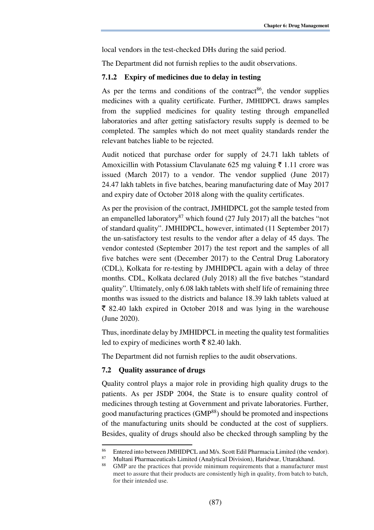local vendors in the test-checked DHs during the said period.

The Department did not furnish replies to the audit observations.

#### **7.1.2 Expiry of medicines due to delay in testing**

As per the terms and conditions of the contract<sup>86</sup>, the vendor supplies medicines with a quality certificate. Further, JMHIDPCL draws samples from the supplied medicines for quality testing through empanelled laboratories and after getting satisfactory results supply is deemed to be completed. The samples which do not meet quality standards render the relevant batches liable to be rejected.

Audit noticed that purchase order for supply of 24.71 lakh tablets of Amoxicillin with Potassium Clavulanate 625 mg valuing  $\bar{\tau}$  1.11 crore was issued (March 2017) to a vendor. The vendor supplied (June 2017) 24.47 lakh tablets in five batches, bearing manufacturing date of May 2017 and expiry date of October 2018 along with the quality certificates.

As per the provision of the contract, JMHIDPCL got the sample tested from an empanelled laboratory<sup>87</sup> which found (27 July 2017) all the batches "not of standard quality". JMHIDPCL, however, intimated (11 September 2017) the un-satisfactory test results to the vendor after a delay of 45 days. The vendor contested (September 2017) the test report and the samples of all five batches were sent (December 2017) to the Central Drug Laboratory (CDL), Kolkata for re-testing by JMHIDPCL again with a delay of three months. CDL, Kolkata declared (July 2018) all the five batches "standard quality". Ultimately, only 6.08 lakh tablets with shelf life of remaining three months was issued to the districts and balance 18.39 lakh tablets valued at  $\bar{\xi}$  82.40 lakh expired in October 2018 and was lying in the warehouse (June 2020).

Thus, inordinate delay by JMHIDPCL in meeting the quality test formalities led to expiry of medicines worth  $\bar{\bar{\xi}}$  82.40 lakh.

The Department did not furnish replies to the audit observations.

### **7.2 Quality assurance of drugs**

l

Quality control plays a major role in providing high quality drugs to the patients. As per JSDP 2004, the State is to ensure quality control of medicines through testing at Government and private laboratories. Further, good manufacturing practices (GMP<sup>88</sup>) should be promoted and inspections of the manufacturing units should be conducted at the cost of suppliers. Besides, quality of drugs should also be checked through sampling by the

<sup>&</sup>lt;sup>86</sup> Entered into between JMHIDPCL and M/s. Scott Edil Pharmacia Limited (the vendor).<br><sup>87</sup> Multani Pharmaceuticals Limited (Analytical Division) Haridwar, Uttarakhand

<sup>87</sup> Multani Pharmaceuticals Limited (Analytical Division), Haridwar, Uttarakhand.

<sup>88</sup> GMP are the practices that provide minimum requirements that a manufacturer must meet to assure that their products are consistently high in quality, from batch to batch, for their intended use.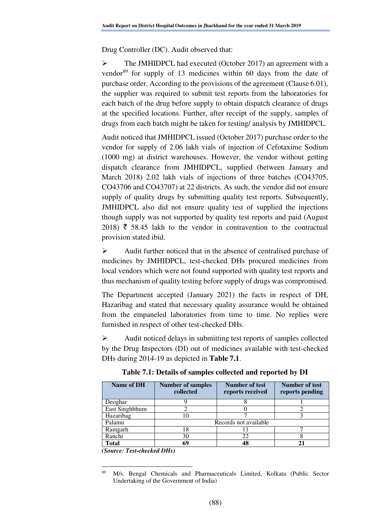Drug Controller (DC). Audit observed that:

 The JMHIDPCL had executed (October 2017) an agreement with a vendor<sup>89</sup> for supply of 13 medicines within 60 days from the date of purchase order. According to the provisions of the agreement (Clause 6.01), the supplier was required to submit test reports from the laboratories for each batch of the drug before supply to obtain dispatch clearance of drugs at the specified locations. Further, after receipt of the supply, samples of drugs from each batch might be taken for testing/ analysis by JMHIDPCL.

Audit noticed that JMHIDPCL issued (October 2017) purchase order to the vendor for supply of 2.06 lakh vials of injection of Cefotaxime Sodium (1000 mg) at district warehouses. However, the vendor without getting dispatch clearance from JMHIDPCL, supplied (between January and March 2018) 2.02 lakh vials of injections of three batches (CO43705, CO43706 and CO43707) at 22 districts. As such, the vendor did not ensure supply of quality drugs by submitting quality test reports. Subsequently, JMHIDPCL also did not ensure quality test of supplied the injections though supply was not supported by quality test reports and paid (August 2018)  $\bar{\tau}$  58.45 lakh to the vendor in contravention to the contractual provision stated ibid.

 $\triangleright$  Audit further noticed that in the absence of centralised purchase of medicines by JMHIDPCL, test-checked DHs procured medicines from local vendors which were not found supported with quality test reports and thus mechanism of quality testing before supply of drugs was compromised.

The Department accepted (January 2021) the facts in respect of DH, Hazaribag and stated that necessary quality assurance would be obtained from the empaneled laboratories from time to time. No replies were furnished in respect of other test-checked DHs.

 Audit noticed delays in submitting test reports of samples collected by the Drug Inspectors (DI) out of medicines available with test-checked DHs during 2014-19 as depicted in **Table 7.1**.

| Name of DH     | <b>Number of samples</b><br>collected | <b>Number of test</b><br>reports received | Number of test<br>reports pending |  |  |  |
|----------------|---------------------------------------|-------------------------------------------|-----------------------------------|--|--|--|
| Deoghar        |                                       |                                           |                                   |  |  |  |
| East Singhbhum |                                       |                                           |                                   |  |  |  |
| Hazaribag      | 0                                     |                                           |                                   |  |  |  |
| Palamu         | Records not available                 |                                           |                                   |  |  |  |
| Ramgarh        | 18                                    |                                           |                                   |  |  |  |
| Ranchi         | 30                                    | 22                                        |                                   |  |  |  |
| Total          | 69                                    |                                           |                                   |  |  |  |

**Table 7.1: Details of samples collected and reported by DI**

*(Source: Test-checked DHs)* 

 $\overline{a}$ 

<sup>89</sup> M/s. Bengal Chemicals and Pharmaceuticals Limited, Kolkata (Public Sector Undertaking of the Government of India)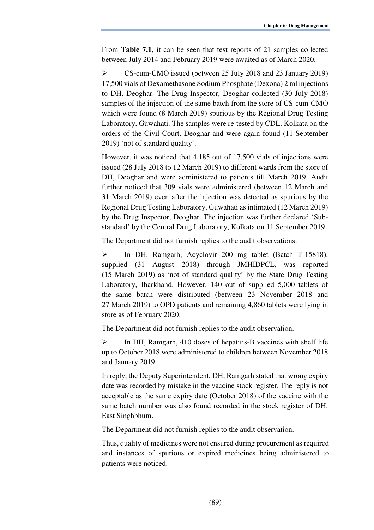From **Table 7.1**, it can be seen that test reports of 21 samples collected between July 2014 and February 2019 were awaited as of March 2020.

 CS-cum-CMO issued (between 25 July 2018 and 23 January 2019) 17,500 vials of Dexamethasone Sodium Phosphate (Dexona) 2 ml injections to DH, Deoghar. The Drug Inspector, Deoghar collected (30 July 2018) samples of the injection of the same batch from the store of CS-cum-CMO which were found (8 March 2019) spurious by the Regional Drug Testing Laboratory, Guwahati. The samples were re-tested by CDL, Kolkata on the orders of the Civil Court, Deoghar and were again found (11 September 2019) 'not of standard quality'.

However, it was noticed that 4,185 out of 17,500 vials of injections were issued (28 July 2018 to 12 March 2019) to different wards from the store of DH, Deoghar and were administered to patients till March 2019. Audit further noticed that 309 vials were administered (between 12 March and 31 March 2019) even after the injection was detected as spurious by the Regional Drug Testing Laboratory, Guwahati as intimated (12 March 2019) by the Drug Inspector, Deoghar. The injection was further declared 'Substandard' by the Central Drug Laboratory, Kolkata on 11 September 2019.

The Department did not furnish replies to the audit observations.

 In DH, Ramgarh, Acyclovir 200 mg tablet (Batch T-15818), supplied (31 August 2018) through JMHIDPCL, was reported (15 March 2019) as 'not of standard quality' by the State Drug Testing Laboratory, Jharkhand. However, 140 out of supplied 5,000 tablets of the same batch were distributed (between 23 November 2018 and 27 March 2019) to OPD patients and remaining 4,860 tablets were lying in store as of February 2020.

The Department did not furnish replies to the audit observation.

 $\triangleright$  In DH, Ramgarh, 410 doses of hepatitis-B vaccines with shelf life up to October 2018 were administered to children between November 2018 and January 2019.

In reply, the Deputy Superintendent, DH, Ramgarh stated that wrong expiry date was recorded by mistake in the vaccine stock register. The reply is not acceptable as the same expiry date (October 2018) of the vaccine with the same batch number was also found recorded in the stock register of DH, East Singhbhum.

The Department did not furnish replies to the audit observation.

Thus, quality of medicines were not ensured during procurement as required and instances of spurious or expired medicines being administered to patients were noticed.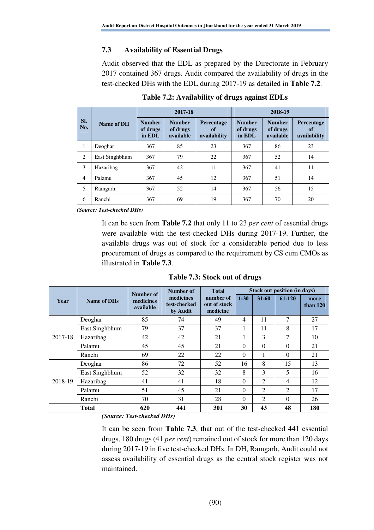# **7.3 Availability of Essential Drugs**

Audit observed that the EDL as prepared by the Directorate in February 2017 contained 367 drugs. Audit compared the availability of drugs in the test-checked DHs with the EDL during 2017-19 as detailed in **Table 7.2**.

|                | Name of DH     | 2017-18                             |                                        |                                         | 2018-19                             |                                        |                                         |  |
|----------------|----------------|-------------------------------------|----------------------------------------|-----------------------------------------|-------------------------------------|----------------------------------------|-----------------------------------------|--|
| SI.<br>No.     |                | <b>Number</b><br>of drugs<br>in EDL | <b>Number</b><br>of drugs<br>available | <b>Percentage</b><br>of<br>availability | <b>Number</b><br>of drugs<br>in EDL | <b>Number</b><br>of drugs<br>available | Percentage<br><b>of</b><br>availability |  |
| 1              | Deoghar        | 367                                 | 85                                     | 23                                      | 367                                 | 86                                     | 23                                      |  |
| 2              | East Singhbhum | 367                                 | 79                                     | 22                                      | 367                                 | 52                                     | 14                                      |  |
| 3              | Hazaribag      | 367                                 | 42                                     | 11                                      | 367                                 | 41                                     | 11                                      |  |
| $\overline{4}$ | Palamu         | 367                                 | 45                                     | 12                                      | 367                                 | 51                                     | 14                                      |  |
| 5              | Ramgarh        | 367                                 | 52                                     | 14                                      | 367                                 | 56                                     | 15                                      |  |
| 6              | Ranchi         | 367                                 | 69                                     | 19                                      | 367                                 | 70                                     | 20                                      |  |

**Table 7.2: Availability of drugs against EDLs** 

*(Source: Test-checked DHs)*

It can be seen from **Table 7.2** that only 11 to 23 *per cent* of essential drugs were available with the test-checked DHs during 2017-19. Further, the available drugs was out of stock for a considerable period due to less procurement of drugs as compared to the requirement by CS cum CMOs as illustrated in **Table 7.3**.

**Table 7.3: Stock out of drugs**

|         |                | Number of              | Number of                             | <b>Total</b>                          | Stock out position (in days) |                |          |                    |
|---------|----------------|------------------------|---------------------------------------|---------------------------------------|------------------------------|----------------|----------|--------------------|
| Year    | Name of DHs    | medicines<br>available | medicines<br>test-checked<br>by Audit | number of<br>out of stock<br>medicine | $1 - 30$                     | $31 - 60$      | $61-120$ | more<br>than $120$ |
| 2017-18 | Deoghar        | 85                     | 74                                    | 49                                    | 4                            | 11             | 7        | 27                 |
|         | East Singhbhum | 79                     | 37                                    | 37                                    | Ι.                           | 11             | 8        | 17                 |
|         | Hazaribag      | 42                     | 42                                    | 21                                    |                              | 3              | 7        | 10                 |
|         | Palamu         | 45                     | 45                                    | 21                                    | $\Omega$                     | $\Omega$       | $\Omega$ | 21                 |
|         | Ranchi         | 69                     | 22                                    | 22                                    | $\Omega$                     | 1              | $\Omega$ | 21                 |
| 2018-19 | Deoghar        | 86                     | 72                                    | 52                                    | 16                           | 8              | 15       | 13                 |
|         | East Singhbhum | 52                     | 32                                    | 32                                    | 8                            | 3              | 5        | 16                 |
|         | Hazaribag      | 41                     | 41                                    | 18                                    | $\Omega$                     | $\overline{2}$ | 4        | 12                 |
|         | Palamu         | 51                     | 45                                    | 21                                    | $\Omega$                     | $\overline{2}$ | 2        | 17                 |
|         | Ranchi         | 70                     | 31                                    | 28                                    | $\Omega$                     | 2              | $\Omega$ | 26                 |
|         | <b>Total</b>   | 620                    | 441                                   | 301                                   | 30                           | 43             | 48       | <b>180</b>         |

*(Source: Test-checked DHs)*

It can be seen from **Table 7.3**, that out of the test-checked 441 essential drugs, 180 drugs (41 *per cent*) remained out of stock for more than 120 days during 2017-19 in five test-checked DHs. In DH, Ramgarh, Audit could not assess availability of essential drugs as the central stock register was not maintained.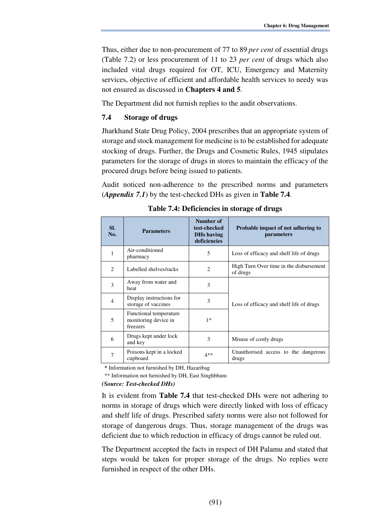Thus, either due to non-procurement of 77 to 89 *per cent* of essential drugs (Table 7.2) or less procurement of 11 to 23 *per cent* of drugs which also included vital drugs required for OT, ICU, Emergency and Maternity services, objective of efficient and affordable health services to needy was not ensured as discussed in **Chapters 4 and 5**.

The Department did not furnish replies to the audit observations.

## **7.4 Storage of drugs**

Jharkhand State Drug Policy, 2004 prescribes that an appropriate system of storage and stock management for medicine is to be established for adequate stocking of drugs. Further, the Drugs and Cosmetic Rules, 1945 stipulates parameters for the storage of drugs in stores to maintain the efficacy of the procured drugs before being issued to patients.

Audit noticed non-adherence to the prescribed norms and parameters (*Appendix 7.1*) by the test-checked DHs as given in **Table 7.4**.

| SI.<br>No.     | <b>Parameters</b>                                          | Number of<br>test-checked<br>DHs having<br>deficiencies | Probable impact of not adhering to<br>parameters    |
|----------------|------------------------------------------------------------|---------------------------------------------------------|-----------------------------------------------------|
| 1              | Air-conditioned<br>pharmacy                                | 5                                                       | Loss of efficacy and shelf life of drugs            |
| $\mathcal{L}$  | Labelled shelves/racks                                     | $\mathcal{L}$                                           | High Turn Over time in the disbursement<br>of drugs |
| 3              | Away from water and<br>heat                                | 3                                                       |                                                     |
| $\overline{4}$ | Display instructions for<br>storage of vaccines            | 3                                                       | Loss of efficacy and shelf life of drugs            |
| 5              | Functional temperature<br>monitoring device in<br>freezers | $1*$                                                    |                                                     |
| 6              | Drugs kept under lock<br>and key                           | 3                                                       | Misuse of costly drugs                              |
| 7              | Poisons kept in a locked<br>cupboard                       | $4**$                                                   | Unauthorised access to the dangerous<br>drugs       |

**Table 7.4: Deficiencies in storage of drugs**

*\** Information not furnished by DH, Hazaribag

\*\* Information not furnished by DH, East Singhbhum

#### *(Source: Test-checked DHs)*

It is evident from **Table 7.4** that test-checked DHs were not adhering to norms in storage of drugs which were directly linked with loss of efficacy and shelf life of drugs. Prescribed safety norms were also not followed for storage of dangerous drugs. Thus, storage management of the drugs was deficient due to which reduction in efficacy of drugs cannot be ruled out.

The Department accepted the facts in respect of DH Palamu and stated that steps would be taken for proper storage of the drugs. No replies were furnished in respect of the other DHs.